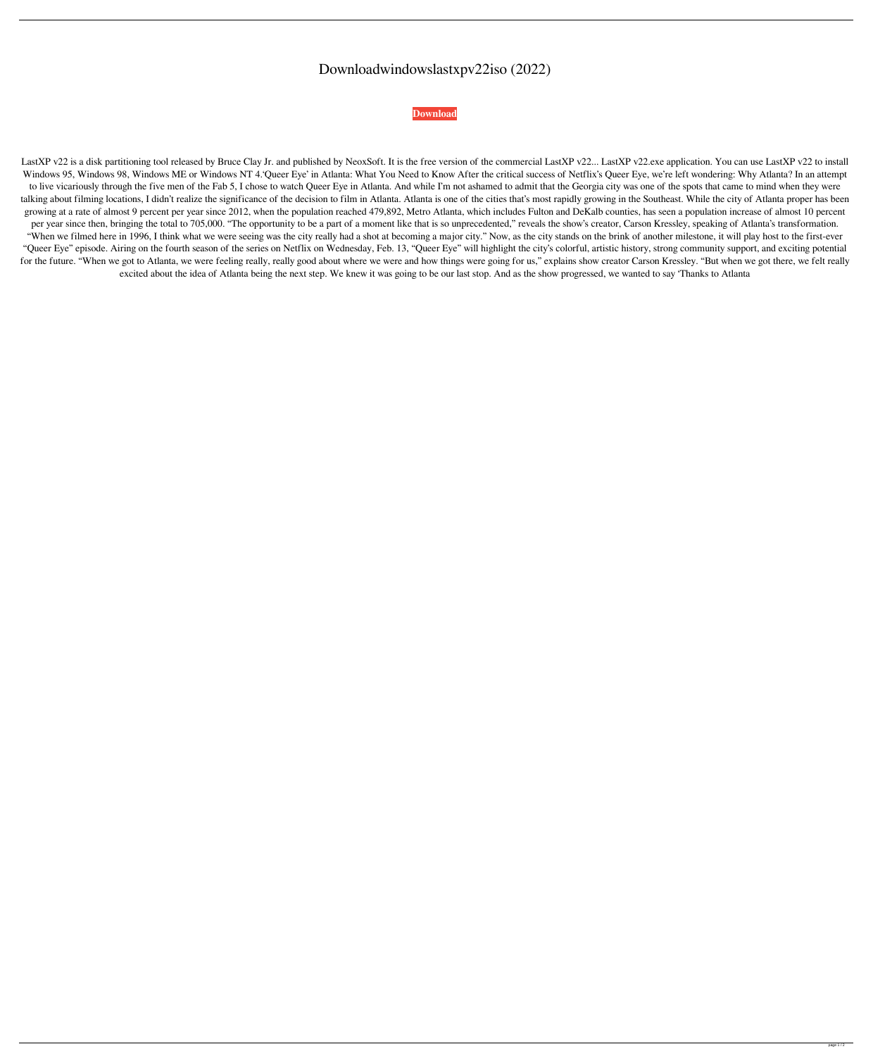## Downloadwindowslastxpv22iso (2022)

**[Download](http://evacdir.com/deletes/ZG93bmxvYWR8djFqTVdOa01ueDhNVFkxTWpRMk16QTFNSHg4TWpVM05IeDhLRTBwSUhKbFlXUXRZbXh2WnlCYlJtRnpkQ0JIUlU1ZA/ZG93bmxvYWR3aW5kb3dzbGFzdHhwdjIyaXNvZG9/handholding/indicate.giardiasis/memorized/tingly)**

LastXP v22 is a disk partitioning tool released by Bruce Clay Jr. and published by NeoxSoft. It is the free version of the commercial LastXP v22... LastXP v22.exe application. You can use LastXP v22 to install Windows 95, Windows 98, Windows ME or Windows NT 4.'Queer Eye' in Atlanta: What You Need to Know After the critical success of Netflix's Queer Eye, we're left wondering: Why Atlanta? In an attempt to live vicariously through the five men of the Fab 5, I chose to watch Queer Eye in Atlanta. And while I'm not ashamed to admit that the Georgia city was one of the spots that came to mind when they were talking about filming locations, I didn't realize the significance of the decision to film in Atlanta. Atlanta is one of the cities that's most rapidly growing in the Southeast. While the city of Atlanta proper has been growing at a rate of almost 9 percent per year since 2012, when the population reached 479,892, Metro Atlanta, which includes Fulton and DeKalb counties, has seen a population increase of almost 10 percent per year since then, bringing the total to 705,000. "The opportunity to be a part of a moment like that is so unprecedented," reveals the show's creator, Carson Kressley, speaking of Atlanta's transformation. "When we filmed here in 1996, I think what we were seeing was the city really had a shot at becoming a major city." Now, as the city stands on the brink of another milestone, it will play host to the first-ever "Queer Eye" episode. Airing on the fourth season of the series on Netflix on Wednesday, Feb. 13, "Queer Eye" will highlight the city's colorful, artistic history, strong community support, and exciting potential for the future. "When we got to Atlanta, we were feeling really, really good about where we were and how things were going for us," explains show creator Carson Kressley. "But when we got there, we felt really excited about the idea of Atlanta being the next step. We knew it was going to be our last stop. And as the show progressed, we wanted to say 'Thanks to Atlanta